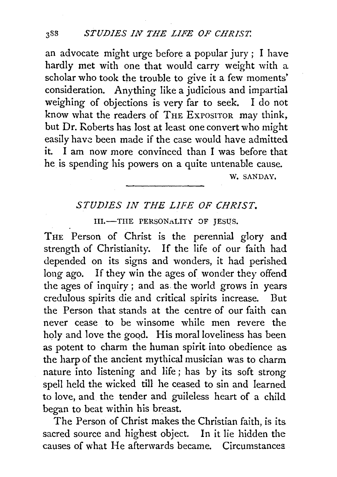an advocate might urge before a popular jury; I have hardly met with one that would carry weight with a scholar who took the trouble to give it a few moments' consideration. Anything like a judicious and impartial weighing of objections is very far to seek. I do not know what the readers of THE ExPOSITOR may think, but Dr. Roberts has lost at least one convert who might easily have been made if the case would have admitted it. I am now more convinced than I was before that he is spending his powers on a quite untenable cause.

W. SANDAY,

## *STUDIES IN THE LIFE OF CHRIST.*

III.-THE PERSONALITY OF JESUS.

THE Person of Christ is the perennial glory and strength of Christianity. If the life of our faith had depended on its signs and wonders, it had perished long ago. If they win the ages of wonder they offend the ages of inquiry; and as. the world grows in years credulous spirits die and critical spirits increase. But the Person that stands at the centre of our faith can never cease to be winsome while men revere the holy and love the good. His moral loveliness has been as potent to charm the human spirit into obedience as the harp of the ancient mythical musician was to charm nature into listening and life ; has by its soft strong spell held the wicked till he ceased to sin and learned to love, and the tender and guileless heart of a child began to beat within his breast.

The Person of Christ makes the Christian faith, is its sacred source and highest object. In it lie hidden the causes of what He afterwards became. Circumstances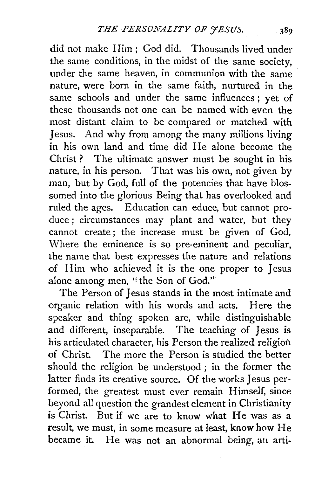did not make Him; God did. Thousands lived under the same conditions, in the midst of the same society, under the same heaven, in communion with the same nature, were born in the same faith, nurtured in the same schools and under the same influences; yet of these thousands not one can be named with even the most distant claim to be compared or matched with Jesus. And why from among the many millions living in his own land and time did He alone become the Christ ? The ultimate answer must be sought in his nature, in his person. That was his own, not given by man, but by God, full of the potencies that have blossomed into the glorious Being that has overlooked and ruled the ages. Education can educe, but cannot produce ; circumstances may plant and water, but they cannot create ; the increase must be given of God. Where the eminence is so pre-eminent and peculiar, the name that best expresses the nature and relations of Him who achieved it is the one proper to Jesus alone among men, "the Son of God."

The Person of Jesus stands in the most intimate and -organic relation with his words and acts. Here the speaker and thing spoken are, while distinguishable and different, inseparable. The teaching of Jesus is his articulated character, his Person the realized religion of Christ. The more the Person is studied the better should the religion be understood ; in the former the latter finds its creative source. Of the works Jesus performed, the greatest must ever remain Himself, since beyond all question the grandest element in Christianity is Christ. But if we are to know what He was as a result, we must, in some measure at least, know how He became it. He was not an abnormal being, an arti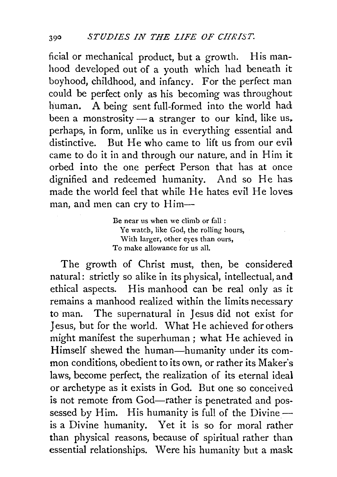ficial or mechanical product, but a growth. His manhood developed out of a youth which had beneath it boyhood, childhood, and infancy. For the perfect man could be perfect only as his becoming was throughout human. A being sent full-formed into the world had been a monstrosity  $-a$  stranger to our kind, like us. perhaps, in form, unlike us in everything essential and distinctive. But He who came to lift us from our evil came to do it in and through our nature, and in Him it orbed into the one perfect Person that has at once dignified and redeemed humanity. And so He has made the world feel that while He hates evil He loves man, and men can cry to Him-

> Be near us when we climb or fall : Ye watch, like God, the rolling hours, With larger, other eyes than ours, To make allowance for us all.

The growth of Christ must, then, be considered natural: strictly so alike in its physical, intellectual, and ethical aspects. His manhood can be real only as it remains a manhood realized within the limits necessary to man. The supernatural in Jesus did not exist for Jesus, but for the world. What He achieved for others might manifest the superhuman; what He achieved in Himself shewed the human-humanity under its common conditions, obedient to its own, or rather its Maker's laws, become perfect, the realization of its eternal ideal or archetype as it exists in God. But one so conceived is not remote from God—rather is penetrated and possessed by Him. His humanity is full of the Divine $$ is a Divine humanity. Yet it is so for moral rather than physical reasons, because of spiritual rather than essential relationships. Were his humanity but a mask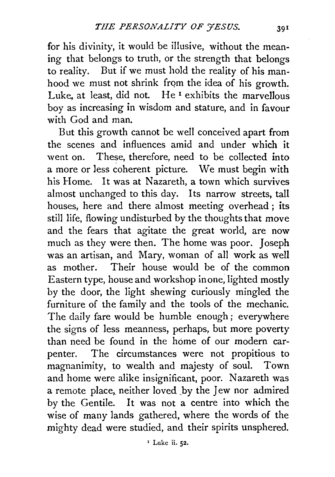for his divinity, it would be illusive, without the meaning that belongs to truth, or the strength that belongs to reality. But if we must hold the reality of his manhood we must not shrink from the idea of his growth. Luke, at least, did not. He<sup>1</sup> exhibits the marvellous boy as increasing in wisdom and stature, and in favour with God and man.

But this growth cannot be well conceived apart from the scenes and influences amid and under which it went on. These, therefore, need to be collected into a more or less coherent picture. We must begin with his Home. It was at Nazareth, a town which survives almost unchanged to this day. Its narrow streets, tall houses, here and there almost meeting overhead ; its still life, flowing undisturbed by the thoughts that move and the fears that agitate the great world, are now much as they were then. The home was poor. Joseph was an artisan, and Mary, woman of all work as well as mother. Their house would be of the common Eastern type, house and workshop in one, lighted mostly by the door, the light shewing curiously mingled the furniture of the family and the tools of the mechanic. The daily fare would be humble enough ; everywhere the signs of less meanness, perhaps, but more poverty than need be found in the home of our modern carpenter. The circumstances were not propitious to magnanimity, to wealth and majesty of soul. Town and home were alike insignificant, poor. Nazareth was a remote place, neither loved by the Jew nor admired by the Gentile. It was not a centre into which the wise of many lands gathered, where the words of the mighty dead were studied, and their spirits unsphered.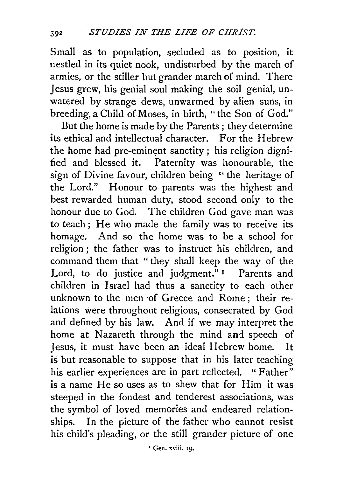Small as to population, secluded as to position, it nestled in its quiet nook, undisturbed by the march of armies, or the stiller hut grander march of mind. There Jesus grew, his genial soul"making the soil genial, unwatered by strange dews, unwarmed by alien suns, in breeding, a Child of Moses, in birth, " the Son of God."

But the home is made by the Parents ; they determine its ethical and intellectual character. For the Hebrew the home had pre-eminent sanctity ; his religion dignified and blessed it. Paternity was honourable, the sign of Divine favour, children being "the heritage of the Lord." Honour to parents was the highest and best rewarded human duty, stood second only to the honour due to God. The children God gave man was to teach; He who made the family was to receive its homage. And so the home was to be a school for religion ; the father was to instruct his children, and command them that "they shall keep the way of the Lord, to do justice and judgment."<sup>1</sup> Parents and children in Israel had thus a sanctity to each other unknown to the men of Greece and Rome: their relations were throughout religious, consecrated by God and defined by his law. And if we may interpret the home at Nazareth through the mind and speech of Jesus, it must have been an ideal Hebrew home. It is but reasonable to suppose that in his later teaching his earlier experiences are in part reflected. "Father" is a name He so uses as to shew that for Him it was steeped in the fondest and tenderest associations, was the symbol of loved memories and endeared relationships. In the picture of the father who cannot resist his child's pleading, or the still grander picture of one

' Gen. xviii. rg.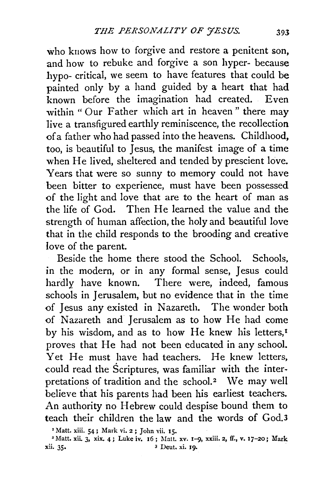who knows how to forgive and restore a penitent son, and how to rebuke and forgive a son hyper- because hypo- critical, we seem to have features that could be painted only by a hand guided by a heart that had known before the imagination had created. Even within " Our Father which art in heaven" there may live a transfigured earthly reminiscence, the recollection of a father who had passed into the heavens. Childhood, too, is beautiful to Jesus, the manifest image of a time when He lived, sheltered and tended by prescient love. Years that were so sunny to memory could not have been bitter to experience, must have been possessed of the light and love that are to the heart of man as the life of God. Then He learned the value and the strength of human affection, the holy and beautiful love that in the child responds to the brooding and creative love of the parent.

Beside the home there stood the School. Schools, in the modern, or in any formal sense, Jesus could hardly have known. There were, indeed, famous schools in Jerusalem, but no evidence that in the time of Jesus any existed in Nazareth. The wonder both of Nazareth and Jerusalem as to how He had come by his wisdom, and as to how He knew his letters,<sup>1</sup> proves that He had not been educated in any school. Yet He must have had teachers. He knew letters, could read the Scriptures, was familiar with the interpretations of tradition and the school.<sup>2</sup> We may well believe that his parents had been his earliest teachers. An authority no Hebrew could despise bound them to teach their children the law and the words of God.3

<sup>&#</sup>x27;Matt. xiii. 54; Mark vi. 2; John vii. 15.

 $^2$ Matt. xii. 3, xix. 4; Luke iv. 16; Matt. xv. 1-9, xxiii. 2, ff., v. 17-20; Mark xii. 35. <sup>3</sup> Deut. xi. 19.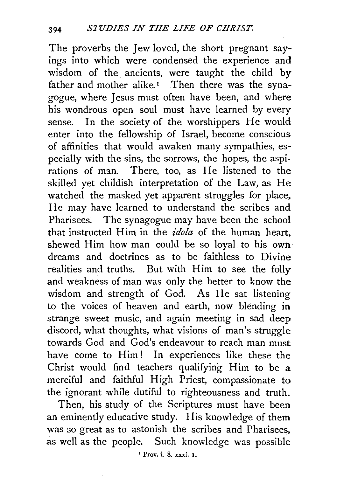The proverbs the Jew loved, the short pregnant sayings into which were condensed the experience and wisdom of the ancients, were taught the child by father and mother alike.<sup>1</sup> Then there was the synagogue, where Jesus must often have been, and where his wondrous open soul must have learned by every sense. In the society of the worshippers He would enter into the fellowship of Israel, become conscious of affinities that would awaken many sympathies, especially with the sins, the sorrows, the hopes, the aspirations of man. There, too, as He listened to the skilled yet childish interpretation of the Law, as He watched the masked yet apparent struggles for place, He may have learned to understand the scribes and Pharisees. The synagogue may have been the school that instructed Him in the *idola* of the human heart, shewed Him how man could be so loyal to his own dreams and doctrines as to be faithless to Divine realities and truths. But with Him to see the folly and weakness of man was only the better to know the wisdom and strength of God. As He sat listening to the voices of heaven and earth, now blending in strange sweet music, and again meeting in sad deep discord, what thoughts, what visions of man's struggle towards God and God's endeavour to reach man must have come to Him! In experiences like these the Christ would find teachers qualifying Him to be a merciful and faithful High Priest, compassionate to the ignorant while dutiful to righteousness and truth.

Then, his study of the Scriptures must have been an eminently educative study. His knowledge of them was so great as to astonish the scribes and Pharisees, as well as the people. Such knowledge was possible

' Prov. i. 8. xxxi. 1.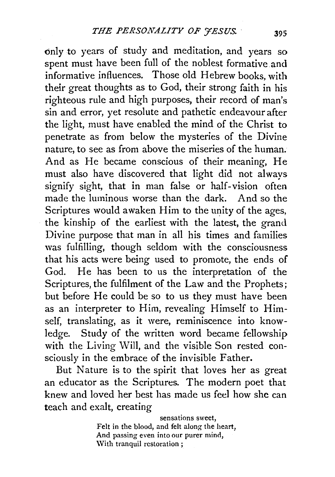only to years of study and meditation, and years so spent must have been full of the noblest formative and informative influences. Those old Hebrew books, with their great thoughts as to God, their strong faith in his righteous rule and high purposes, their record of man's sin and error, yet resolute and pathetic endeavour after the light, must have enabled the mind of the Christ to penetrate as from below the mysteries of the Divine nature, to see as from above the miseries of the human. And as He became conscious of their meaning, He must also have discovered that light did not always signify sight, that in man false or half-vision often made the luminous worse than the dark. And so the Scriptures would awaken Him to the unity of the ages, the kinship of the earliest with the latest, the grand Divine purpose that man in all his times and families was fulfilling, though seldom with the consciousness that his acts were being used to promote, the ends of God. He has been to us the interpretation of the Scriptures, the fulfilment of the Law and the Prophets; but before He could be so to us they must have been as an interpreter to Him, revealing Himself to Himself, translating, as it were, reminiscence into knowledge. Study of the written word became fellowship with the Living Will, and the visible Son rested consciously in the embrace of the invisible Father.

But Nature is to the spirit that loves her as great an educator as the Scriptures. The modern poet that knew and loved her best has made us feel how she can teach and exalt, creating

> sensations sweet, Felt in the blood, and felt along the heart, And passing even into our purer mind, \Vith tranquil restoration ;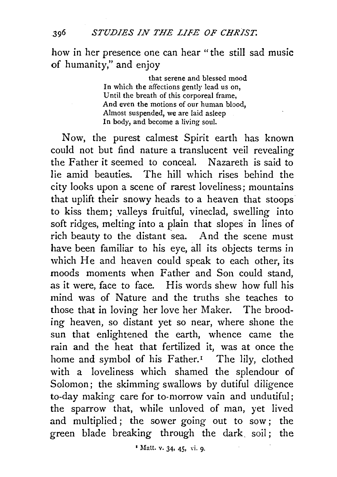how in her presence one can hear "the still sad music of humanity," and enjoy

> that serene and blessed mood In which the affections gently lead us on, Until the breath of this corporeal frame, And even the motions of our human blood, Almost suspended, we are laid asleep In body, and become a living soul.

Now, the purest calmest Spirit earth has known could not but find nature a translucent veil revealing the Father it seemed to conceal. Nazareth is said to lie amid beauties. The hill which rises behind the city looks upon a scene of rarest loveliness; mountains that uplift their snowy heads to a heaven that stoops to kiss them; valleys fruitful, vineclad, swelling into soft ridges, melting into a plain that slopes in lines of rich beauty to the distant sea. And the scene must have been familiar to his eye, all its objects terms in which He and heaven could speak to each other, its moods moments when Father and Son could stand, as it were, face to face. His words shew how full his mind was of Nature and the truths she teaches to those that in loving her love her Maker. The brooding heaven, so distant yet so near, where shone the sun that enlightened the earth, whence came the rain and the heat that fertilized it, was at once the home and symbol of his Father.<sup>1</sup> The lily, clothed with a loveliness which shamed the splendour of Solomon; the skimming swallows by dutiful diligence to-day making care for to-morrow vain and undutiful; the sparrow that, while unloved of man, yet lived and multiplied; the sower going out to sow; the green blade breaking through the dark soil; the

*•* Matt. v. 34, 45, Yi. 9·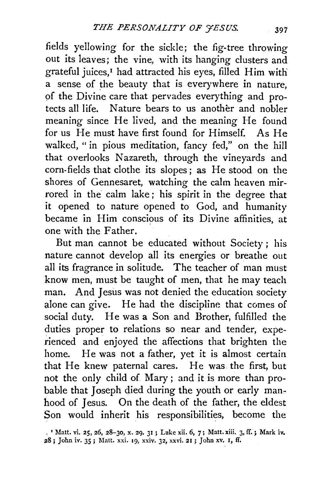fields yellowing for the sickle; the fig-tree throwing out its leaves; the vine, with its hanging clusters and grateful juices,1 had attracted his eyes, filled Him with a sense of the beauty that is everywhere in nature, of the Divine care that pervades everything and protects all life. Nature bears to us another and nobler meaning since He lived, and the meaning He found for us He must have first found for Himself. As He walked, " in pious meditation, fancy fed," on the hill that overlooks Nazareth, through the vineyards and corn-fields that clothe its slopes; as He stood on the shores of Gennesaret, watching the calm heaven mirrored in the calm lake ; his spirit in the degree that it opened to nature opened to God, and humanity became in Him conscious of its Divine affinities, at one with the Father.

But man cannot be educated without Society ; his nature cannot develop all its energies or breathe out all its fragrance in solitude. The teacher of man must know men, must be taught of men, that he may teach man. And Jesus was not denied the education society alone can give. He had the discipline that comes of social duty. He was a Son and Brother, fulfilled the duties proper to relations so near and tender, experienced and enjoyed the affections that brighten the home. He was not a father, yet it is almost certain that He knew paternal cares. He was the first, but not the only child of Mary ; and it is more than probable that Joseph died during the youth or early manhood of Jesus. On the death of the father, the eldest Son would inherit his responsibilities, become the

<sup>. &#</sup>x27; Matt. vi. 25, 26, 28-30, x. 29, 31 ; Luke xii. 6, 7; Matt. xiii. 3, ff.; Mark iv, *28;* John iv. *35;* Matt. xxi. 19, xxiv. 32, xxvi. 21; John xv. I, ff.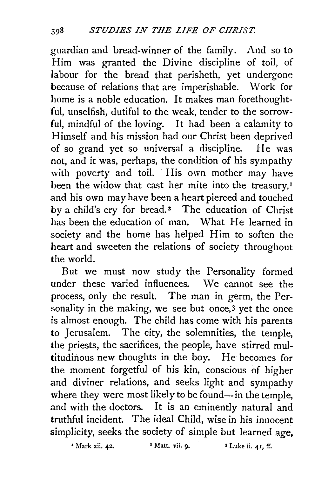guardian and bread-winner of the family. And so to Him was granted the Divine discipline of toil, of labour for the bread that perisheth, yet undergone because of relations that are imperishable. Work for home is a noble education. It makes man forethoughtful, unselfish, dutiful to the weak, tender to the sorrowful, mindful of the loving. It had been a calamity to Himself and his mission had our Christ been deprived of so grand yet so universal a discipline. He was not, and it was, perhaps, the condition of his sympathy with poverty and toil. His own mother may have been the widow that cast her mite into the treasury,<sup> $I$ </sup> and his own may have been a heart pierced and touched by a child's cry for bread.<sup>2</sup> The education of Christ has been the education of man. What He learned in society and the home has helped Him to soften the heart and sweeten the relations of society throughout the world.

But we must now study the Personality formed under these varied influences. We cannot see the process, only the result. The man in germ, the Personality in the making, we see but once,<sup>3</sup> yet the once is almost enough. The child has come with his parents to Jerusalem. The city, the solemnities, the temple, the priests, the sacrifices, the people, have stirred multitudinous new thoughts in the boy. He becomes for the moment forgetful of his kin, conscious of higher and diviner relations, and seeks light and sympathy where they were most likely to be found-in the temple, and with the doctors. It is an eminently natural and truthful incident. The ideal Child, wise in his innocent simplicity, seeks the society of simple but learned age,

 $\frac{1}{2}$  Mark xii. 42.  $\frac{1}{2}$  Matt. vii. 9.  $\frac{1}{2}$  Luke ii. 41, ff.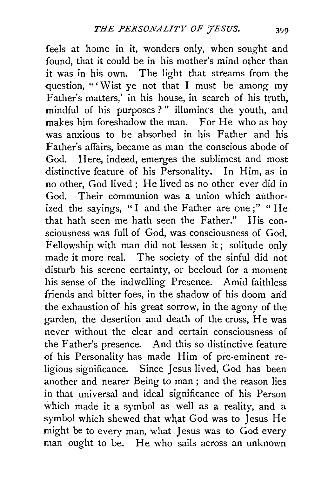feels at home in it, wonders only, when sought and found, that it could be in his mother's mind other than it was in his own. The light that streams from the question, "' Wist ye not that I must be among my Father's matters,' in his house, in search of his truth, mindful of his purposes ? " illumines the youth, and makes him foreshadow the man. For He who as boy was anxious to be absorbed in his Father and his Father's affairs, became as man the conscious abode of God. Here, indeed, emerges the sublimest and most distinctive feature of his Personality. In Him, as in no other, God lived; He lived as no other ever did in God. Their communion was a union which authorized the sayings, "I and the Father are one;" "He that hath seen me hath seen the Father." His consciousness was full of God, was consciousness of God. Fellowship with man did not lessen it; solitude only made it more real. The society of the sinful did not disturb his serene certainty, or becloud for a moment his sense of the indwelling Presence. Amid faithless friends and bitter foes, in the shadow of his doom and the exhaustion of his great sorrow, in the agony of the garden, the desertion and death of the cross, He was never without the clear and certain consciousness of the Father's presence. And this so distinctive feature of his Personality has made Him of pre-eminent religious significance. Since Jesus lived, God has been another and nearer Being to man ; and the reason lies in that universal and ideal significance of his Person which made it a symbol as well as a reality, and a symbol which shewed that what God was to Jesus He might be to every man, what Jesus was to God every man ought to be. He who sails across an unknown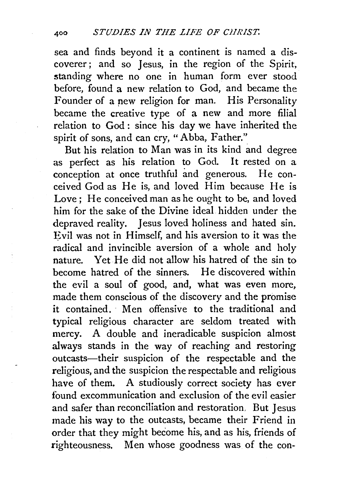sea and finds beyond it a continent is named a discoverer; and so Jesus, in the region of the Spirit, standing where no one in human form ever stood before, found a new relation to God, and became the Founder of a pew religion for man. His Personality became the creative type of a new and more filial relation to God: since his day we have inherited the spirit of sons, and can cry, "Abba, Father."

But his relation to Man was in its kind and degree as perfect as his relation to God. It rested on a conception at once truthful and generous. He conceived God as He is, and loved Him because He is Love; He conceived man as he ought to be, and loved him for the sake of the Divine ideal hidden under the depraved reality. Jesus loved holiness and hated sin. Evil was not in Himself, and his aversion to it was the radical and invincible aversion of a whole and holy nature. Yet He did not allow his hatred of the sin to become hatred of the sinners. He discovered within the evil a soul of good, and, what was even more, made them conscious of the discovery and the promise it contained. · Men offensive to the traditional and typical religious character are seldom treated with mercy. A double and ineradicable suspicion almost always stands in the way of reaching and restoring outcasts-their suspicion of the respectable and the religious, and the suspicion the respectable and religious have of them. A studiously correct society has ever found excommunication and exclusion of the evil easier and safer than reconciliation and restoration, But Jesus made his way to the outcasts, became their Friend in order that they might become his, and as his, friends of righteousness. Men whose goodness was. of the con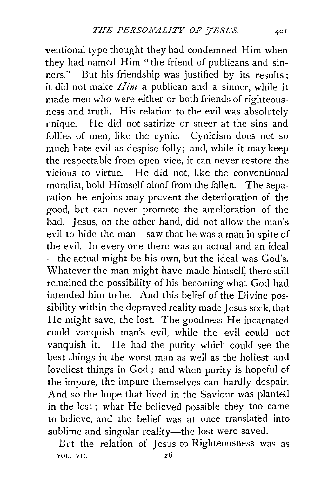ventional type thought they had condemned Him when they had named Him "the friend of publicans and sinners." But his friendship was justified by its results; it did not make *Him* a publican and a sinner, while it made men who were either or both friends of righteousness and truth. His relation to the evil was absolutely unique. He did not satirize or sneer at the sins and follies of men, like the cynic. Cynicism does not so much hate evil as despise folly; and, while it may keep the respectable from open vice, it can never restore the vicious to virtue. He did not, like the conventional moralist, hold Himself aloof from the fallen. The separation he enjoins may prevent the deterioration of the good, but can never promote the amelioration of the bad. Jesus, on the other hand, did not ailow the man's evil to hide the man—saw that he was a man in spite of the evil. In every one there was an actual and an ideal -the actual might be his own, but the ideal was God's. Whatever the man might have made himself, there still remained the possibility of his becoming what God had intended him to be. And this belief of the Divine possibility within the depraved reality made Jesus seek, that He might save, the lost. The goodness He incarnated could vanquish man's evil, while the evil could not vanquish it. He had the purity which could see the best things in the worst man as well as the holiest and loveliest things in God ; and when purity is hopeful of the impure, the impure themselves can hardly despair. And so the hope that lived in the Saviour was planted in the lost ; what He believed possible they too came to believe, and the belief was at once translated into sublime and singular reality-the lost were saved.

But the relation of Jesus to Righteousness was as VOL. VII. 26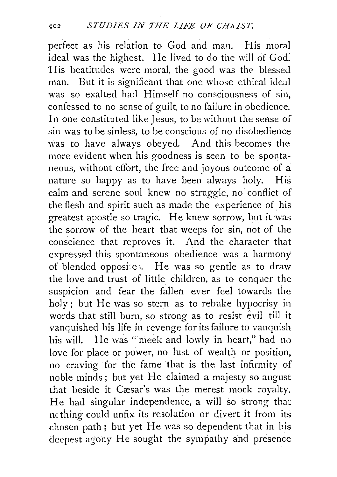perfect as his relation to God and man. His moral ideal was the highest. He lived to do the will of God: His beatitudes were moral, the good was the blessed man. But it is significant that one whose ethical ideal was so exalted had Himself no consciousness of sin, confessed to no sense of guilt, to no failure in obedience. In one constituted like Jesus, to be without the sense of sin was to be sinless, to be conscious of no disobedience was to have always obeyed. And this becomes the more evident when his goodness is seen to be spontaneous, without effort, the free and joyous outcome of a nature so happy as to have been always holy. His calm and serene soul knew no struggle, no conflict of the flesh and spirit such as made the experience of his greatest apostle so tragic. He knew sorrow, but it was the sorrow of the heart that weeps for sin, not of the conscience that reproves it. And the character that expressed this spontaneous obedience was a harmony of blended opposi:c ;. He was so gentle as to draw the love and trust of little children, as to conquer the suspicion and fear the fallen ever feel towards the holy ; but He was so stern as to rebuke hypocrisy in words that still burn, so strong as to resist evil till it vanquished his life in revenge for its failure to vanquish his will. He was " meek and lowly in heart," had no love for place or power, no lust of wealth or position, no craving for the fame that is the last infirmity of noble minds; but yet He claimed a majesty so august that beside it Cæsar's was the merest mock royalty. He had singular independence, a will so strong that m thing could unfix its re3olution or divert it from its chosen path; but yet He was so dependent that in his deepest agony He sought the sympathy and presence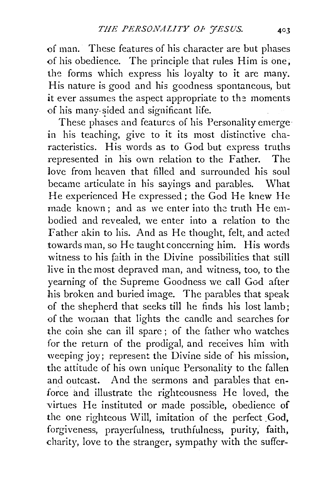of man. These features of his character are but phases of his obedience. The principle that rules Him is one; the forms which express his loyalty to it are many. His nature is good and his goodness spontaneous, but it ever assumes the aspect appropriate to the moments of his many-sided and significant life.

These phases and features of his Personality emerge in his teaching, give to it its most distinctive characteristics. His words as to God but express truths represented in his own relation to the Father. The love from heaven that filled and surrounded his soul became articulate in his sayings and parables. What He experienced He expressed; the God He knew He made known: and as we enter into the truth He embodied and revealed, we enter into a relation to the Father akin to his. And as He thought, felt, and acted towards man, so He taught concerning him. His words witness to his faith in the Divine possibilities that still live in the most depraved man, and witness, too, to the yearning of the Supreme Goodness we call God after his broken and buried image. The parables that speak of the shepherd that seeks till he finds his lost lamb; of the woman that lights the candle and searches for the coin she can ill spare ; of the father who watches for the return of the prodigal, and receives him with weeping joy; represent the Divine side of his mission, the attitude of his own unique Personality to the fallen and outcast. And the sermons and parables that enforce and illustrate the righteousness He loved, the virtues He instituted or made possible, obedience of the one righteous Will, imitation of the perfect God, forgiveness, prayerfulness, truthfulness, purity, faith, charity, love to the stranger, sympathy with the suffer